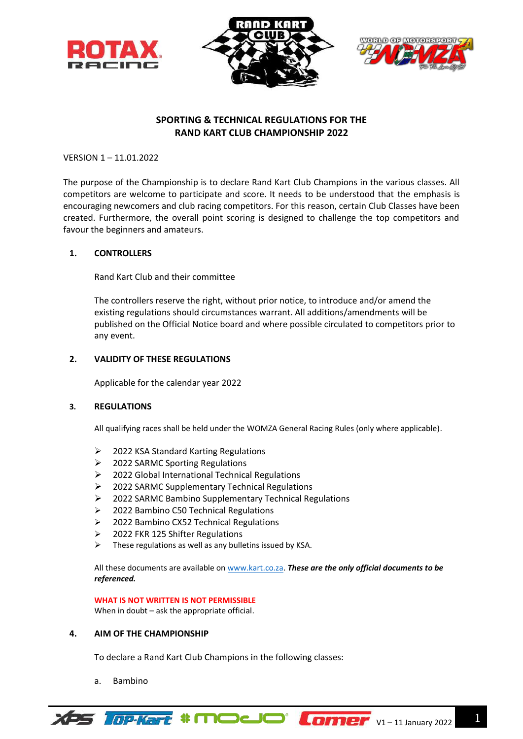





# **SPORTING & TECHNICAL REGULATIONS FOR THE RAND KART CLUB CHAMPIONSHIP 2022**

VERSION 1 – 11.01.2022

The purpose of the Championship is to declare Rand Kart Club Champions in the various classes. All competitors are welcome to participate and score. It needs to be understood that the emphasis is encouraging newcomers and club racing competitors. For this reason, certain Club Classes have been created. Furthermore, the overall point scoring is designed to challenge the top competitors and favour the beginners and amateurs.

## **1. CONTROLLERS**

Rand Kart Club and their committee

The controllers reserve the right, without prior notice, to introduce and/or amend the existing regulations should circumstances warrant. All additions/amendments will be published on the Official Notice board and where possible circulated to competitors prior to any event.

## **2. VALIDITY OF THESE REGULATIONS**

Applicable for the calendar year 2022

#### **3. REGULATIONS**

All qualifying races shall be held under the WOMZA General Racing Rules (only where applicable).

- $\geq$  2022 KSA Standard Karting Regulations
- ➢ 2022 SARMC Sporting Regulations
- ➢ 2022 Global International Technical Regulations
- ➢ 2022 SARMC Supplementary Technical Regulations
- ➢ 2022 SARMC Bambino Supplementary Technical Regulations
- ➢ 2022 Bambino C50 Technical Regulations
- ➢ 2022 Bambino CX52 Technical Regulations
- ➢ 2022 FKR 125 Shifter Regulations
- $\triangleright$  These regulations as well as any bulletins issued by KSA.

All these documents are available on [www.kart.co.za.](http://www.kart.co.za/) *These are the only official documents to be referenced.*

**WHAT IS NOT WRITTEN IS NOT PERMISSIBLE**

When in doubt – ask the appropriate official.

#### **4. AIM OF THE CHAMPIONSHIP**

To declare a Rand Kart Club Champions in the following classes:

a. Bambino

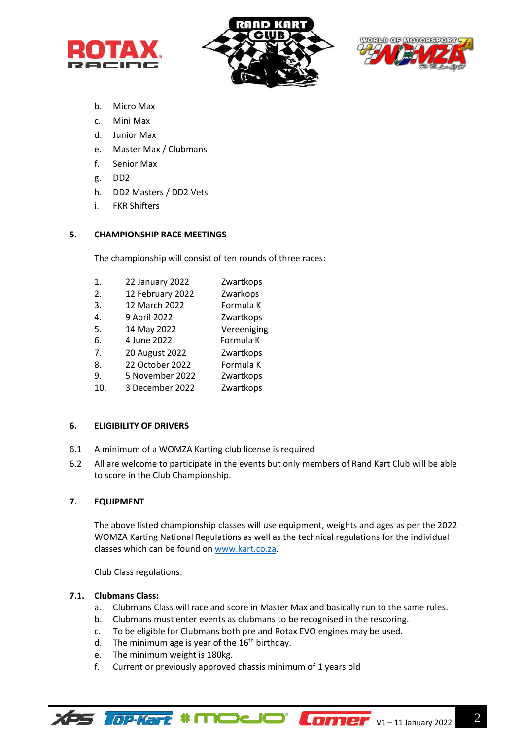





- b. Micro Max
- c. Mini Max
- d. Junior Max
- e. Master Max / Clubmans
- f. Senior Max
- g. DD2
- h. DD2 Masters / DD2 Vets
- i. FKR Shifters

## **5. CHAMPIONSHIP RACE MEETINGS**

The championship will consist of ten rounds of three races:

- 1. 22 January 2022 Zwartkops
- 2. 12 February 2022 Zwarkops
- 3. 12 March 2022 Formula K
- 4. 9 April 2022 Zwartkops
- 5. 14 May 2022 Vereeniging
- 6. 4 June 2022 Formula K
- 7. 20 August 2022 Zwartkops
- 8. 22 October 2022 Formula K
- 9. 5 November 2022 Zwartkops
- 10. 3 December 2022 Zwartkops

## **6. ELIGIBILITY OF DRIVERS**

- 6.1 A minimum of a WOMZA Karting club license is required
- 6.2 All are welcome to participate in the events but only members of Rand Kart Club will be able to score in the Club Championship.

## **7. EQUIPMENT**

The above listed championship classes will use equipment, weights and ages as per the 2022 WOMZA Karting National Regulations as well as the technical regulations for the individual classes which can be found on [www.kart.co.za.](http://www.kart.co.za/)

Club Class regulations:

## **7.1. Clubmans Class:**

- a. Clubmans Class will race and score in Master Max and basically run to the same rules.
- b. Clubmans must enter events as clubmans to be recognised in the rescoring.
- c. To be eligible for Clubmans both pre and Rotax EVO engines may be used.
- d. The minimum age is year of the  $16<sup>th</sup>$  birthday.
- e. The minimum weight is 180kg.
- f. Current or previously approved chassis minimum of 1 years old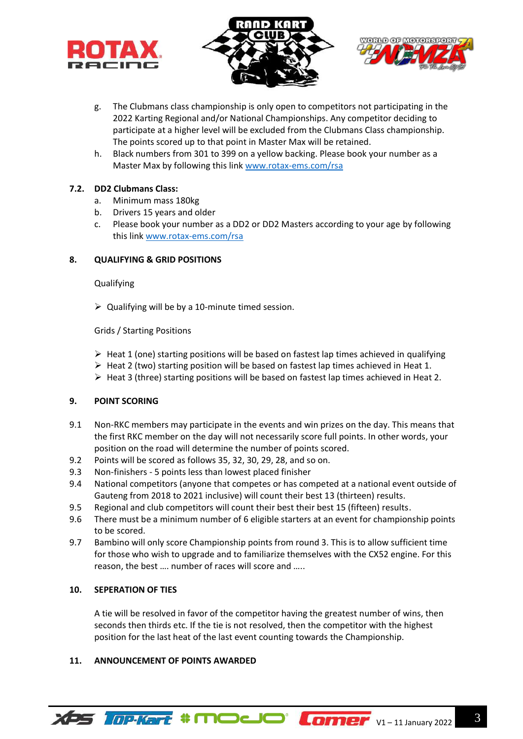





- g. The Clubmans class championship is only open to competitors not participating in the 2022 Karting Regional and/or National Championships. Any competitor deciding to participate at a higher level will be excluded from the Clubmans Class championship. The points scored up to that point in Master Max will be retained.
- h. Black numbers from 301 to 399 on a yellow backing. Please book your number as a Master Max by following this link [www.rotax-ems.com/rsa](http://www.rotax-ems.com/rsa)

## **7.2. DD2 Clubmans Class:**

- a. Minimum mass 180kg
- b. Drivers 15 years and older
- c. Please book your number as a DD2 or DD2 Masters according to your age by following this link [www.rotax-ems.com/rsa](http://www.rotax-ems.com/rsa)

## **8. QUALIFYING & GRID POSITIONS**

#### **Qualifying**

 $\triangleright$  Qualifying will be by a 10-minute timed session.

## Grids / Starting Positions

- $\triangleright$  Heat 1 (one) starting positions will be based on fastest lap times achieved in qualifying
- $\triangleright$  Heat 2 (two) starting position will be based on fastest lap times achieved in Heat 1.
- ➢ Heat 3 (three) starting positions will be based on fastest lap times achieved in Heat 2.

## **9. POINT SCORING**

- 9.1 Non-RKC members may participate in the events and win prizes on the day. This means that the first RKC member on the day will not necessarily score full points. In other words, your position on the road will determine the number of points scored.
- 9.2 Points will be scored as follows 35, 32, 30, 29, 28, and so on.
- 9.3 Non-finishers 5 points less than lowest placed finisher
- 9.4 National competitors (anyone that competes or has competed at a national event outside of Gauteng from 2018 to 2021 inclusive) will count their best 13 (thirteen) results.
- 9.5 Regional and club competitors will count their best their best 15 (fifteen) results.
- 9.6 There must be a minimum number of 6 eligible starters at an event for championship points to be scored.
- 9.7 Bambino will only score Championship points from round 3. This is to allow sufficient time for those who wish to upgrade and to familiarize themselves with the CX52 engine. For this reason, the best …. number of races will score and …..

#### **10. SEPERATION OF TIES**

A tie will be resolved in favor of the competitor having the greatest number of wins, then seconds then thirds etc. If the tie is not resolved, then the competitor with the highest position for the last heat of the last event counting towards the Championship.

#### **11. ANNOUNCEMENT OF POINTS AWARDED**